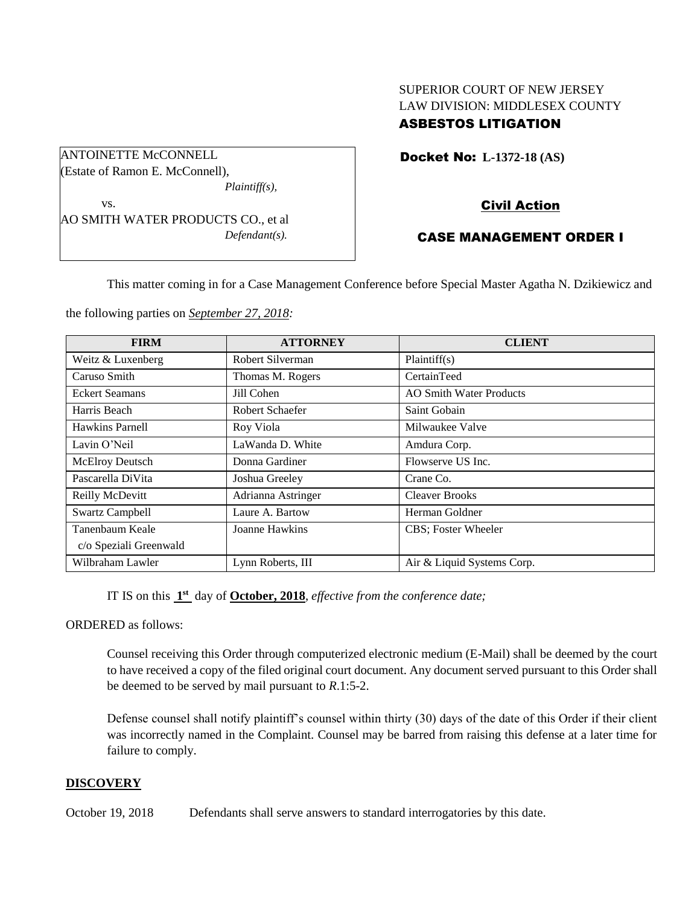# SUPERIOR COURT OF NEW JERSEY LAW DIVISION: MIDDLESEX COUNTY ASBESTOS LITIGATION

Docket No: **L-1372-18 (AS)** 

Civil Action

# CASE MANAGEMENT ORDER I

This matter coming in for a Case Management Conference before Special Master Agatha N. Dzikiewicz and

the following parties on *September 27, 2018:*

| <b>FIRM</b>            | <b>ATTORNEY</b>    | <b>CLIENT</b>                  |
|------------------------|--------------------|--------------------------------|
| Weitz & Luxenberg      | Robert Silverman   | Plaintiff $(s)$                |
| Caruso Smith           | Thomas M. Rogers   | CertainTeed                    |
| <b>Eckert Seamans</b>  | Jill Cohen         | <b>AO Smith Water Products</b> |
| Harris Beach           | Robert Schaefer    | Saint Gobain                   |
| Hawkins Parnell        | Roy Viola          | Milwaukee Valve                |
| Lavin O'Neil           | LaWanda D. White   | Amdura Corp.                   |
| <b>McElroy Deutsch</b> | Donna Gardiner     | Flowserve US Inc.              |
| Pascarella DiVita      | Joshua Greeley     | Crane Co.                      |
| Reilly McDevitt        | Adrianna Astringer | <b>Cleaver Brooks</b>          |
| <b>Swartz Campbell</b> | Laure A. Bartow    | Herman Goldner                 |
| Tanenbaum Keale        | Joanne Hawkins     | CBS; Foster Wheeler            |
| c/o Speziali Greenwald |                    |                                |
| Wilbraham Lawler       | Lynn Roberts, III  | Air & Liquid Systems Corp.     |

IT IS on this  $1<sup>st</sup>$  day of **October, 2018**, *effective from the conference date*;

ORDERED as follows:

Counsel receiving this Order through computerized electronic medium (E-Mail) shall be deemed by the court to have received a copy of the filed original court document. Any document served pursuant to this Order shall be deemed to be served by mail pursuant to *R*.1:5-2.

Defense counsel shall notify plaintiff's counsel within thirty (30) days of the date of this Order if their client was incorrectly named in the Complaint. Counsel may be barred from raising this defense at a later time for failure to comply.

#### **DISCOVERY**

October 19, 2018 Defendants shall serve answers to standard interrogatories by this date.



*Defendant(s).*

ANTOINETTE McCONNELL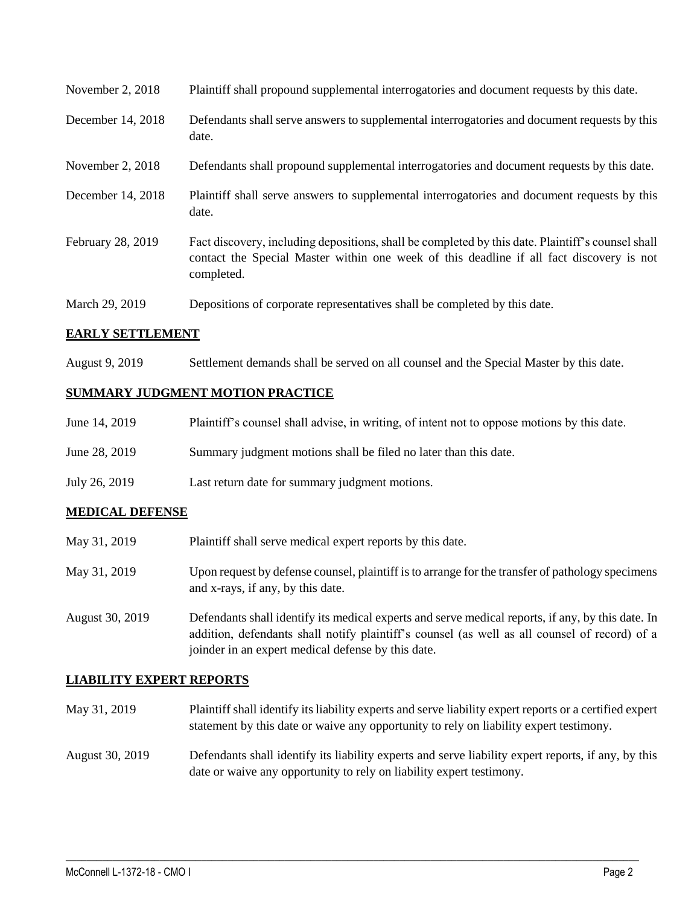| November 2, 2018  | Plaintiff shall propound supplemental interrogatories and document requests by this date.                                                                                                                   |
|-------------------|-------------------------------------------------------------------------------------------------------------------------------------------------------------------------------------------------------------|
| December 14, 2018 | Defendants shall serve answers to supplemental interrogatories and document requests by this<br>date.                                                                                                       |
| November 2, 2018  | Defendants shall propound supplemental interrogatories and document requests by this date.                                                                                                                  |
| December 14, 2018 | Plaintiff shall serve answers to supplemental interrogatories and document requests by this<br>date.                                                                                                        |
| February 28, 2019 | Fact discovery, including depositions, shall be completed by this date. Plaintiff's counsel shall<br>contact the Special Master within one week of this deadline if all fact discovery is not<br>completed. |
| March 29, 2019    | Depositions of corporate representatives shall be completed by this date.                                                                                                                                   |

## **EARLY SETTLEMENT**

August 9, 2019 Settlement demands shall be served on all counsel and the Special Master by this date.

# **SUMMARY JUDGMENT MOTION PRACTICE**

| June 14, 2019 | Plaintiff's counsel shall advise, in writing, of intent not to oppose motions by this date. |
|---------------|---------------------------------------------------------------------------------------------|
| June 28, 2019 | Summary judgment motions shall be filed no later than this date.                            |
| July 26, 2019 | Last return date for summary judgment motions.                                              |

## **MEDICAL DEFENSE**

- May 31, 2019 Plaintiff shall serve medical expert reports by this date.
- May 31, 2019 Upon request by defense counsel, plaintiff is to arrange for the transfer of pathology specimens and x-rays, if any, by this date.
- August 30, 2019 Defendants shall identify its medical experts and serve medical reports, if any, by this date. In addition, defendants shall notify plaintiff's counsel (as well as all counsel of record) of a joinder in an expert medical defense by this date.

## **LIABILITY EXPERT REPORTS**

- May 31, 2019 Plaintiff shall identify its liability experts and serve liability expert reports or a certified expert statement by this date or waive any opportunity to rely on liability expert testimony.
- August 30, 2019 Defendants shall identify its liability experts and serve liability expert reports, if any, by this date or waive any opportunity to rely on liability expert testimony.

 $\_$  ,  $\_$  ,  $\_$  ,  $\_$  ,  $\_$  ,  $\_$  ,  $\_$  ,  $\_$  ,  $\_$  ,  $\_$  ,  $\_$  ,  $\_$  ,  $\_$  ,  $\_$  ,  $\_$  ,  $\_$  ,  $\_$  ,  $\_$  ,  $\_$  ,  $\_$  ,  $\_$  ,  $\_$  ,  $\_$  ,  $\_$  ,  $\_$  ,  $\_$  ,  $\_$  ,  $\_$  ,  $\_$  ,  $\_$  ,  $\_$  ,  $\_$  ,  $\_$  ,  $\_$  ,  $\_$  ,  $\_$  ,  $\_$  ,